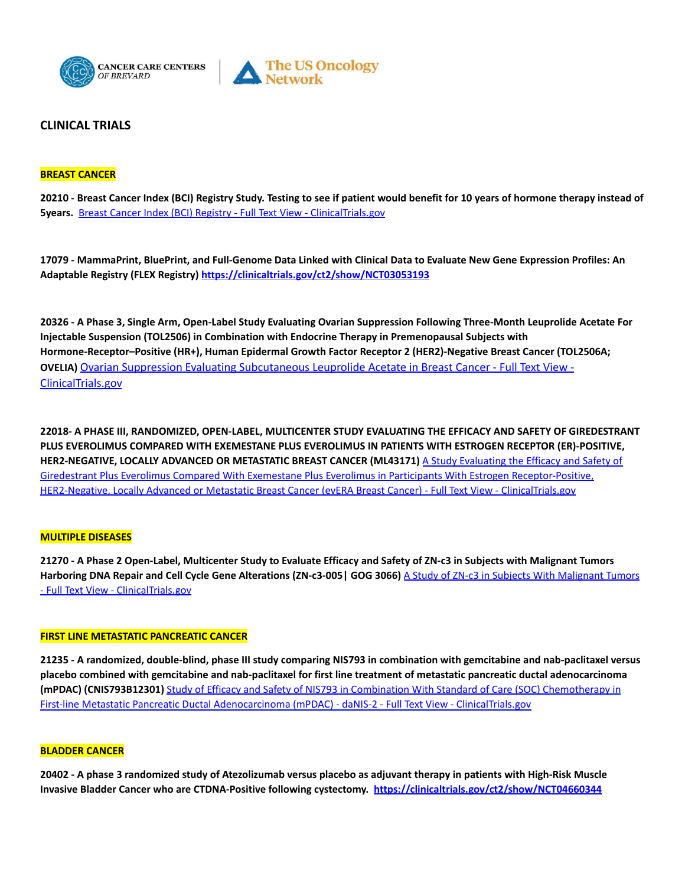



# **CLINICAL TRIALS**

### **BREAST CANCER**

20210 - Breast Cancer Index (BCI) Registry Study. Testing to see if patient would benefit for 10 years of hormone therapy instead of **5years.** Breast Cancer Index (BCI) Registry - Full Text View - [ClinicalTrials.gov](https://clinicaltrials.gov/ct2/show/NCT04875351)

17079 - MammaPrint, BluePrint, and Full-Genome Data Linked with Clinical Data to Evaluate New Gene Expression Profiles: An **Adaptable Registry (FLEX Registry) <https://clinicaltrials.gov/ct2/show/NCT03053193>**

20326 - A Phase 3, Single Arm, Open-Label Study Evaluating Ovarian Suppression Following Three-Month Leuprolide Acetate For **Injectable Suspension (TOL2506) in Combination with Endocrine Therapy in Premenopausal Subjects with Hormone-Receptor–Positive (HR+), Human Epidermal Growth Factor Receptor 2 (HER2)-Negative Breast Cancer (TOL2506A; OVELIA)** Ovarian Suppression Evaluating [Subcutaneous](https://clinicaltrials.gov/ct2/show/NCT04906395?term=TOL2506A&recrs=ab&cond=breast+cancer&draw=2&rank=1) Leuprolide Acetate in Breast Cancer - Full Text View - [ClinicalTrials.gov](https://clinicaltrials.gov/ct2/show/NCT04906395?term=TOL2506A&recrs=ab&cond=breast+cancer&draw=2&rank=1)

**22018- A PHASE III, RANDOMIZED, OPEN-LABEL, MULTICENTER STUDY EVALUATING THE EFFICACY AND SAFETY OF GIREDESTRANT PLUS EVEROLIMUS COMPARED WITH EXEMESTANE PLUS EVEROLIMUS IN PATIENTS WITH ESTROGEN RECEPTOR (ER)-POSITIVE, HER2-NEGATIVE, LOCALLY ADVANCED OR METASTATIC BREAST CANCER (ML43171)** A Study [Evaluating](https://clinicaltrials.gov/ct2/show/NCT05306340?term=ML43171&cond=BREAST+CANCER&draw=2&rank=1) the Efficacy and Safety of Giredestrant Plus Everolimus Compared With Exemestane Plus Everolimus in Participants With Estrogen [Receptor-Positive,](https://clinicaltrials.gov/ct2/show/NCT05306340?term=ML43171&cond=BREAST+CANCER&draw=2&rank=1) HER2-Negative, Locally Advanced or Metastatic Breast Cancer (evERA Breast Cancer) - Full Text View - [ClinicalTrials.gov](https://clinicaltrials.gov/ct2/show/NCT05306340?term=ML43171&cond=BREAST+CANCER&draw=2&rank=1)

#### **MULTIPLE DISEASES**

21270 - A Phase 2 Open-Label, Multicenter Study to Evaluate Efficacy and Safety of ZN-c3 in Subjects with Malignant Tumors **Harboring DNA Repair and Cell Cycle Gene Alterations (ZN-c3-005| GOG 3066)** A Study of ZN-c3 in Subjects With [Malignant](https://clinicaltrials.gov/ct2/show/NCT05128825?term=ZN-c3-005+GOG+3066&draw=2&rank=1) Tumors - Full Text View - [ClinicalTrials.gov](https://clinicaltrials.gov/ct2/show/NCT05128825?term=ZN-c3-005+GOG+3066&draw=2&rank=1)

#### **FIRST LINE METASTATIC PANCREATIC CANCER**

21235 - A randomized, double-blind, phase III study comparing NIS793 in combination with gemcitabine and nab-paclitaxel versus placebo combined with gemcitabine and nab-paclitaxel for first line treatment of metastatic pancreatic ductal adenocarcinoma **(mPDAC) (CNIS793B12301)** Study of Efficacy and Safety of NIS793 in Combination With Standard of Care (SOC) [Chemotherapy](https://clinicaltrials.gov/ct2/show/NCT04935359?term=CNIS793B12301&draw=2&rank=1) in First-line Metastatic Pancreatic Ductal [Adenocarcinoma](https://clinicaltrials.gov/ct2/show/NCT04935359?term=CNIS793B12301&draw=2&rank=1) (mPDAC) - daNIS-2 - Full Text View - ClinicalTrials.gov

#### **BLADDER CANCER**

20402 - A phase 3 randomized study of Atezolizumab versus placebo as adjuvant therapy in patients with High-Risk Muscle **Invasive Bladder Cancer who are CTDNA-Positive following cystectomy. <https://clinicaltrials.gov/ct2/show/NCT04660344>**